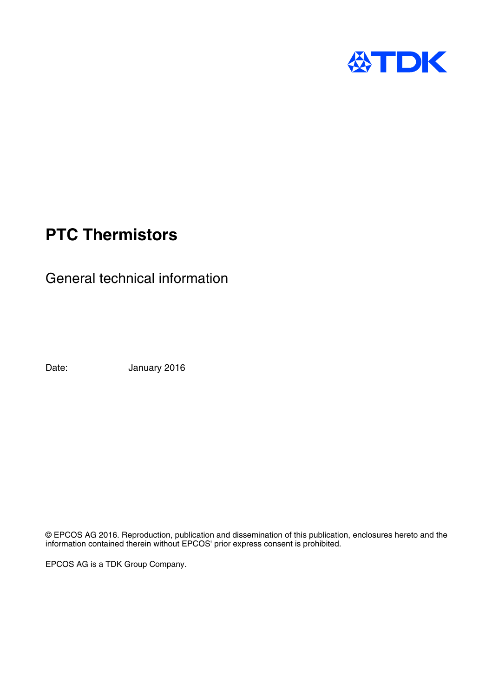

# **PTC Thermistors**

General technical information

Date: January 2016

© EPCOS AG 2016. Reproduction, publication and dissemination of this publication, enclosures hereto and the information contained therein without EPCOS' prior express consent is prohibited.

EPCOS AG is a TDK Group Company.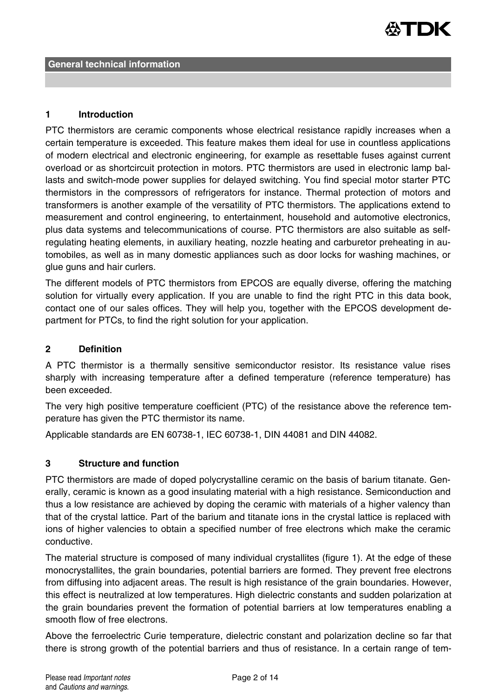

#### **1 Introduction**

PTC thermistors are ceramic components whose electrical resistance rapidly increases when a certain temperature is exceeded. This feature makes them ideal for use in countless applications of modern electrical and electronic engineering, for example as resettable fuses against current overload or as shortcircuit protection in motors. PTC thermistors are used in electronic lamp ballasts and switch-mode power supplies for delayed switching. You find special motor starter PTC thermistors in the compressors of refrigerators for instance. Thermal protection of motors and transformers is another example of the versatility of PTC thermistors. The applications extend to measurement and control engineering, to entertainment, household and automotive electronics, plus data systems and telecommunications of course. PTC thermistors are also suitable as selfregulating heating elements, in auxiliary heating, nozzle heating and carburetor preheating in automobiles, as well as in many domestic appliances such as door locks for washing machines, or glue guns and hair curlers.

The different models of PTC thermistors from EPCOS are equally diverse, offering the matching solution for virtually every application. If you are unable to find the right PTC in this data book, contact one of our sales offices. They will help you, together with the EPCOS development department for PTCs, to find the right solution for your application.

#### **2 Definition**

A PTC thermistor is a thermally sensitive semiconductor resistor. Its resistance value rises sharply with increasing temperature after a defined temperature (reference temperature) has been exceeded.

The very high positive temperature coefficient (PTC) of the resistance above the reference temperature has given the PTC thermistor its name.

Applicable standards are EN 60738-1, IEC 60738-1, DIN 44081 and DIN 44082.

#### **3 Structure and function**

PTC thermistors are made of doped polycrystalline ceramic on the basis of barium titanate. Generally, ceramic is known as a good insulating material with a high resistance. Semiconduction and thus a low resistance are achieved by doping the ceramic with materials of a higher valency than that of the crystal lattice. Part of the barium and titanate ions in the crystal lattice is replaced with ions of higher valencies to obtain a specified number of free electrons which make the ceramic conductive.

The material structure is composed of many individual crystallites (figure 1). At the edge of these monocrystallites, the grain boundaries, potential barriers are formed. They prevent free electrons from diffusing into adjacent areas. The result is high resistance of the grain boundaries. However, this effect is neutralized at low temperatures. High dielectric constants and sudden polarization at the grain boundaries prevent the formation of potential barriers at low temperatures enabling a smooth flow of free electrons.

Above the ferroelectric Curie temperature, dielectric constant and polarization decline so far that there is strong growth of the potential barriers and thus of resistance. In a certain range of tem-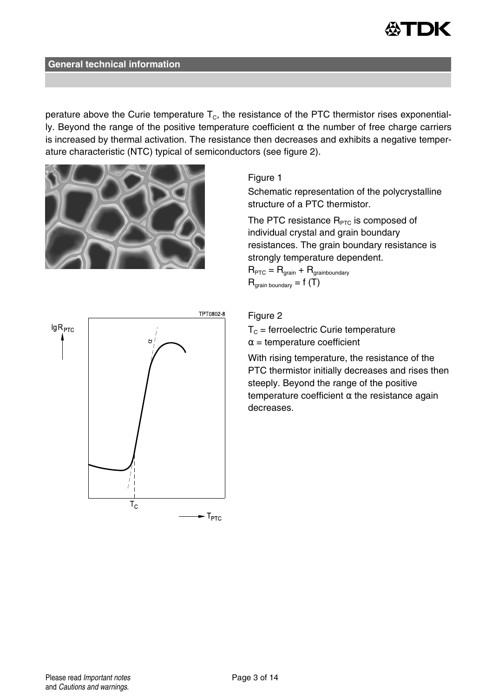

perature above the Curie temperature  $T_c$ , the resistance of the PTC thermistor rises exponentially. Beyond the range of the positive temperature coefficient  $\alpha$  the number of free charge carriers is increased by thermal activation. The resistance then decreases and exhibits a negative temperature characteristic (NTC) typical of semiconductors (see figure 2).



#### Figure 1

Schematic representation of the polycrystalline structure of a PTC thermistor.

The PTC resistance  $R_{\text{PTC}}$  is composed of individual crystal and grain boundary resistances. The grain boundary resistance is strongly temperature dependent.

 $R_{\text{PTC}} = R_{\text{grain}} + R_{\text{grainboundary}}$  $R_{\text{train boundary}} = f(T)$ 



#### Figure 2

 $T_c$  = ferroelectric Curie temperature  $\alpha$  = temperature coefficient

With rising temperature, the resistance of the PTC thermistor initially decreases and rises then steeply. Beyond the range of the positive temperature coefficient  $\alpha$  the resistance again decreases.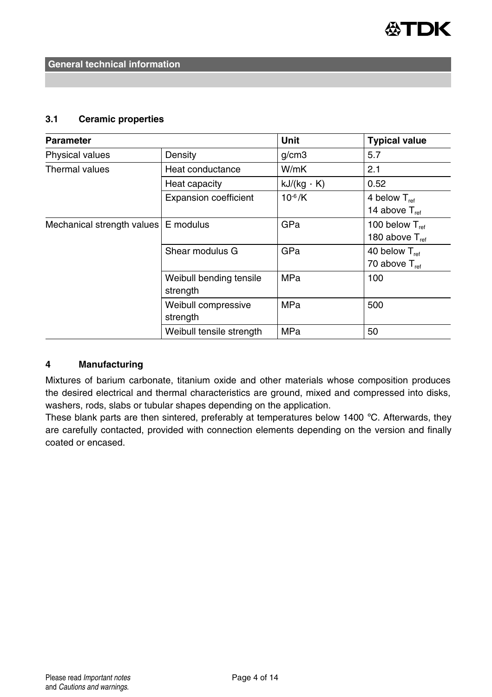

#### **3.1 Ceramic properties**

| <b>Parameter</b>                     |                                     | <b>Unit</b>       | <b>Typical value</b>                       |
|--------------------------------------|-------------------------------------|-------------------|--------------------------------------------|
| Physical values                      | Density                             | q/cm3             | 5.7                                        |
| Thermal values                       | Heat conductance                    | W/mK              | 2.1                                        |
|                                      | Heat capacity                       | $kJ/(kg \cdot K)$ | 0.52                                       |
|                                      | <b>Expansion coefficient</b>        | $10^{-6}$ /K      | 4 below $T_{ref}$<br>14 above $T_{ref}$    |
| Mechanical strength values E modulus |                                     | GPa               | 100 below $T_{ref}$<br>180 above $T_{ref}$ |
|                                      | Shear modulus G                     | GPa               | 40 below $T_{ref}$<br>70 above $T_{ref}$   |
|                                      | Weibull bending tensile<br>strength | <b>MPa</b>        | 100                                        |
|                                      | Weibull compressive<br>strength     | <b>MPa</b>        | 500                                        |
|                                      | Weibull tensile strength            | <b>MPa</b>        | 50                                         |

#### **4 Manufacturing**

Mixtures of barium carbonate, titanium oxide and other materials whose composition produces the desired electrical and thermal characteristics are ground, mixed and compressed into disks, washers, rods, slabs or tubular shapes depending on the application.

These blank parts are then sintered, preferably at temperatures below 1400 °C. Afterwards, they are carefully contacted, provided with connection elements depending on the version and finally coated or encased.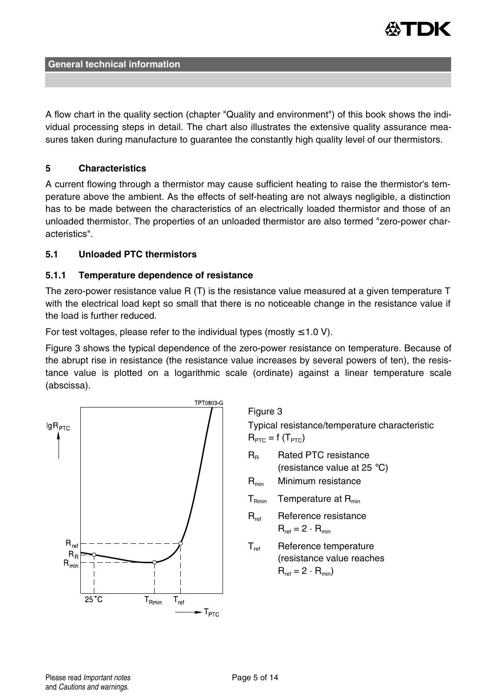

A flow chart in the quality section (chapter "Quality and environment") of this book shows the individual processing steps in detail. The chart also illustrates the extensive quality assurance measures taken during manufacture to guarantee the constantly high quality level of our thermistors.

#### **5 Characteristics**

A current flowing through a thermistor may cause sufficient heating to raise the thermistor's temperature above the ambient. As the effects of self-heating are not always negligible, a distinction has to be made between the characteristics of an electrically loaded thermistor and those of an unloaded thermistor. The properties of an unloaded thermistor are also termed "zero-power characteristics".

#### **5.1 Unloaded PTC thermistors**

#### **5.1.1 Temperature dependence of resistance**

The zero-power resistance value R (T) is the resistance value measured at a given temperature T with the electrical load kept so small that there is no noticeable change in the resistance value if the load is further reduced.

For test voltages, please refer to the individual types (mostly  $\leq 1.0$  V).

Figure 3 shows the typical dependence of the zero-power resistance on temperature. Because of the abrupt rise in resistance (the resistance value increases by several powers of ten), the resistance value is plotted on a logarithmic scale (ordinate) against a linear temperature scale (abscissa).



Figure 3

Typical resistance/temperature characteristic  $R_{\text{PTC}} = f(T_{\text{PTC}})$ 

- R<sub>R</sub> Rated PTC resistance (resistance value at 25 °C)
- $R_{min}$  Minimum resistance
- $T<sub>Rmin</sub>$  Temperature at  $R<sub>min</sub>$
- R<sub>ref</sub> Reference resistance  $R_{ref} = 2 \cdot R_{min}$
- T<sub>ref</sub> Reference temperature (resistance value reaches  $R_{ref} = 2 \cdot R_{min}$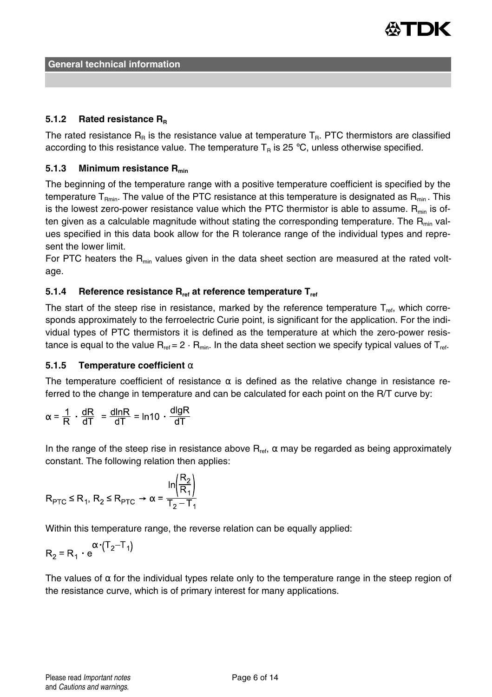

#### **5.1.2 Rated resistance R<sup>R</sup>**

The rated resistance  $R_R$  is the resistance value at temperature  $T_R$ . PTC thermistors are classified according to this resistance value. The temperature  $T_R$  is 25 °C, unless otherwise specified.

## **5.1.3 Minimum resistance Rmin**

The beginning of the temperature range with a positive temperature coefficient is specified by the temperature T<sub>Pmin</sub>. The value of the PTC resistance at this temperature is designated as  $R_{min}$ . This is the lowest zero-power resistance value which the PTC thermistor is able to assume.  $R_{min}$  is often given as a calculable magnitude without stating the corresponding temperature. The  $R_{min}$  values specified in this data book allow for the R tolerance range of the individual types and represent the lower limit.

For PTC heaters the  $R<sub>min</sub>$  values given in the data sheet section are measured at the rated voltage.

## **5.1.4 Reference resistance Rref at reference temperature Tref**

The start of the steep rise in resistance, marked by the reference temperature  $T_{\text{ref}}$ , which corresponds approximately to the ferroelectric Curie point, is significant for the application. For the individual types of PTC thermistors it is defined as the temperature at which the zero-power resistance is equal to the value  $R_{ref} = 2 \cdot R_{min}$ . In the data sheet section we specify typical values of  $T_{ref}$ .

#### **5.1.5 Temperature coefficient** α

The temperature coefficient of resistance  $\alpha$  is defined as the relative change in resistance referred to the change in temperature and can be calculated for each point on the R/T curve by:

$$
\alpha = \frac{1}{R} \cdot \frac{dR}{dT} = \frac{dlnR}{dT} = ln10 \cdot \frac{dlgR}{dT}
$$

In the range of the steep rise in resistance above  $R_{\text{ref}}$ ,  $\alpha$  may be regarded as being approximately constant. The following relation then applies:

$$
R_{\text{PTC}} \le R_1, R_2 \le R_{\text{PTC}} \rightarrow \alpha = \frac{\ln\left(\frac{R_2}{R_1}\right)}{T_2 - T_1}
$$

Within this temperature range, the reverse relation can be equally applied:

$$
R_2 = R_1 \cdot e^{(\text{T}_2 - \text{T}_1)}
$$

The values of  $\alpha$  for the individual types relate only to the temperature range in the steep region of the resistance curve, which is of primary interest for many applications.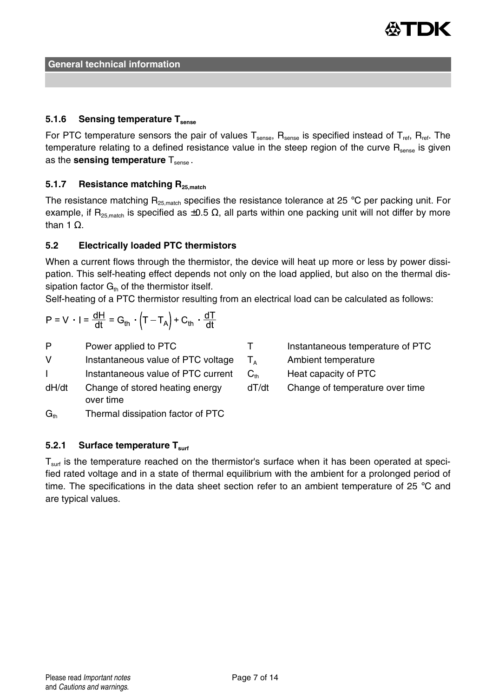

## **5.1.6 Sensing temperature Tsense**

For PTC temperature sensors the pair of values  $T_{\text{sense}}$ ,  $R_{\text{sense}}$  is specified instead of  $T_{\text{ref}}$ ,  $R_{\text{ref}}$ . The temperature relating to a defined resistance value in the steep region of the curve R<sub>sense</sub> is given as the **sensing temperature** T<sub>sense</sub>.

## **5.1.7 Resistance matching R25,match**

The resistance matching  $R_{25,match}$  specifies the resistance tolerance at 25 °C per packing unit. For example, if R<sub>25,match</sub> is specified as  $\pm 0.5 \Omega$ , all parts within one packing unit will not differ by more than 1  $Ω$ .

#### **5.2 Electrically loaded PTC thermistors**

When a current flows through the thermistor, the device will heat up more or less by power dissipation. This self-heating effect depends not only on the load applied, but also on the thermal dissipation factor  $G<sub>th</sub>$  of the thermistor itself.

Self-heating of a PTC thermistor resulting from an electrical load can be calculated as follows:

$$
P = V \cdot I = \frac{dH}{dt} = G_{th} \cdot \left( T - T_A \right) + C_{th} \cdot \frac{dT}{dt}
$$

P Power applied to PTC

V Instantaneous value of PTC voltage

I Instantaneous value of PTC current

- dH/dt Change of stored heating energy over time
- $G<sub>th</sub>$  Thermal dissipation factor of PTC

## **5.2.1 Surface temperature Tsurf**

 $T<sub>surf</sub>$  is the temperature reached on the thermistor's surface when it has been operated at specified rated voltage and in a state of thermal equilibrium with the ambient for a prolonged period of time. The specifications in the data sheet section refer to an ambient temperature of 25 °C and are typical values.

| т                              | Instantaneous temperature of PTC |
|--------------------------------|----------------------------------|
| $T_{\scriptscriptstyle\Delta}$ | Ambient temperature              |
| $C_{th}$                       | Heat capacity of PTC             |
| dT/dt                          | Change of temperature over time  |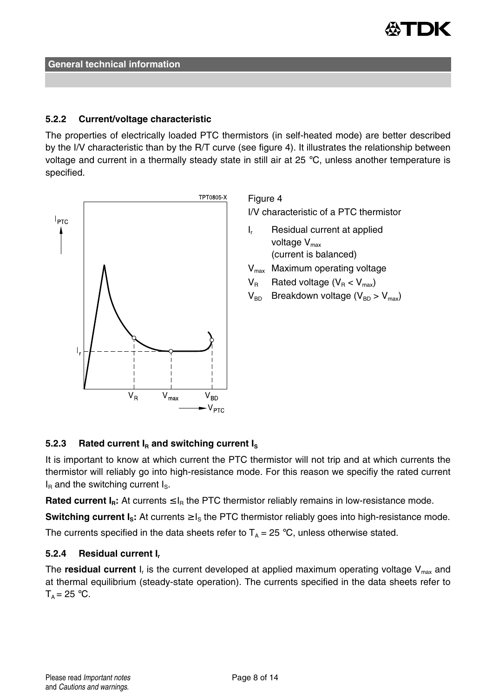

#### **5.2.2 Current/voltage characteristic**

The properties of electrically loaded PTC thermistors (in self-heated mode) are better described by the I/V characteristic than by the R/T curve (see figure 4). It illustrates the relationship between voltage and current in a thermally steady state in still air at 25 °C, unless another temperature is specified.



Figure 4

I/V characteristic of a PTC thermistor

- I. Residual current at applied voltage  $V_{\text{max}}$ (current is balanced)
- $V_{\text{max}}$  Maximum operating voltage
- $V_B$  Rated voltage ( $V_B < V_{max}$ )
- $V_{BD}$  Breakdown voltage ( $V_{BD} > V_{max}$ )

# **5.2.3** Rated current  $I<sub>B</sub>$  and switching current  $I<sub>S</sub>$

It is important to know at which current the PTC thermistor will not trip and at which currents the thermistor will reliably go into high-resistance mode. For this reason we specifiy the rated current  $I<sub>B</sub>$  and the switching current  $I<sub>S</sub>$ .

**Rated current**  $I_R$ **: At currents**  $\leq I_R$  **the PTC thermistor reliably remains in low-resistance mode.** 

**Switching current**  $I_s$ **: At currents**  $\geq I_s$  **the PTC thermistor reliably goes into high-resistance mode.** 

The currents specified in the data sheets refer to  $T_A = 25 \degree C$ , unless otherwise stated.

## **5.2.4 Residual current I<sup>r</sup>**

The **residual current** I<sub>r</sub> is the current developed at applied maximum operating voltage V<sub>max</sub> and at thermal equilibrium (steady-state operation). The currents specified in the data sheets refer to  $T_A = 25$  °C.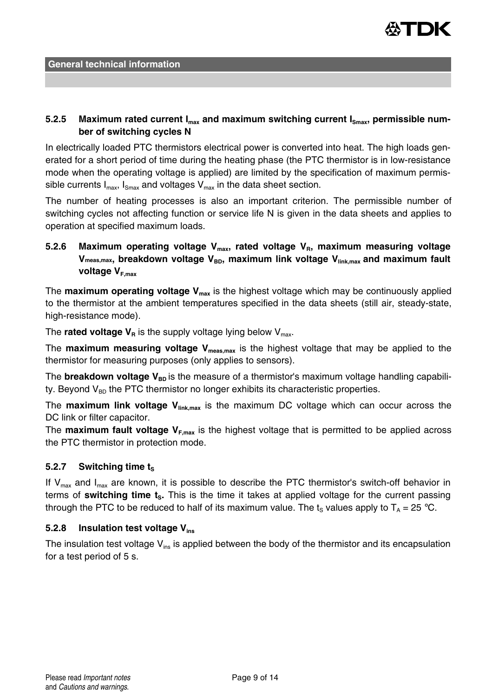

## 5.2.5 Maximum rated current I<sub>max</sub> and maximum switching current I<sub>Smax</sub>, permissible num**ber of switching cycles N**

In electrically loaded PTC thermistors electrical power is converted into heat. The high loads generated for a short period of time during the heating phase (the PTC thermistor is in low-resistance mode when the operating voltage is applied) are limited by the specification of maximum permissible currents  $I_{max}$ ,  $I_{Smax}$  and voltages  $V_{max}$  in the data sheet section.

The number of heating processes is also an important criterion. The permissible number of switching cycles not affecting function or service life N is given in the data sheets and applies to operation at specified maximum loads.

# **5.2.6 Maximum operating voltage Vmax, rated voltage VR, maximum measuring voltage** V<sub>meas, max</sub>, breakdown voltage V<sub>BD</sub>, maximum link voltage V<sub>link, max</sub> and maximum fault **voltage VF,max**

The **maximum operating voltage Vmax** is the highest voltage which may be continuously applied to the thermistor at the ambient temperatures specified in the data sheets (still air, steady-state, high-resistance mode).

The **rated voltage**  $V_R$  is the supply voltage lying below  $V_{max}$ .

The **maximum measuring voltage Vmeas,max** is the highest voltage that may be applied to the thermistor for measuring purposes (only applies to sensors).

The **breakdown voltage V<sub>BD</sub>** is the measure of a thermistor's maximum voltage handling capability. Beyond  $V_{BD}$  the PTC thermistor no longer exhibits its characteristic properties.

The **maximum link voltage Vlink,max** is the maximum DC voltage which can occur across the DC link or filter capacitor.

The **maximum fault voltage VF,max** is the highest voltage that is permitted to be applied across the PTC thermistor in protection mode.

## **5.2.7** Switching time t<sub>s</sub>

If  $V_{\text{max}}$  and  $I_{\text{max}}$  are known, it is possible to describe the PTC thermistor's switch-off behavior in terms of **switching time tS.** This is the time it takes at applied voltage for the current passing through the PTC to be reduced to half of its maximum value. The t<sub>s</sub> values apply to  $T_A = 25 \degree C$ .

## **5.2.8 Insulation test voltage Vins**

The insulation test voltage  $V_{ins}$  is applied between the body of the thermistor and its encapsulation for a test period of 5 s.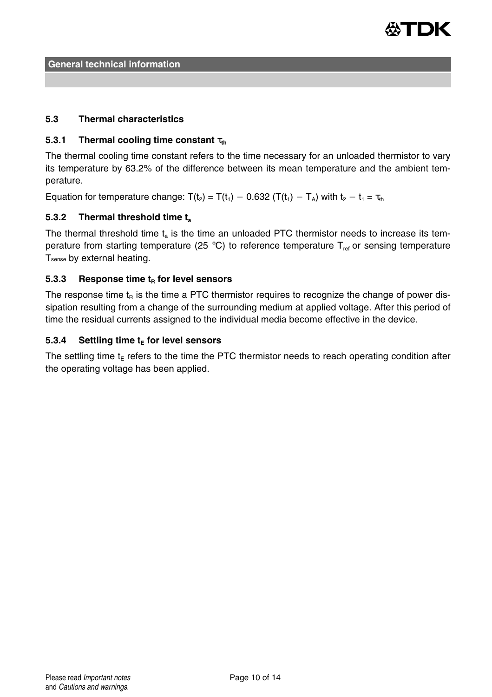

## **5.3 Thermal characteristics**

## **5.3.1 Thermal cooling time constant** τ<sub>th</sub>

The thermal cooling time constant refers to the time necessary for an unloaded thermistor to vary its temperature by 63.2% of the difference between its mean temperature and the ambient temperature.

Equation for temperature change:  $T(t_2) = T(t_1) - 0.632$  ( $T(t_1) - T_A$ ) with  $t_2 - t_1 = \tau_{th}$ 

## **5.3.2 Thermal threshold time t<sup>a</sup>**

The thermal threshold time  $t_a$  is the time an unloaded PTC thermistor needs to increase its temperature from starting temperature (25 °C) to reference temperature  $T_{ref}$  or sensing temperature Tsense by external heating.

#### **5.3.3 Response time t<sup>R</sup> for level sensors**

The response time  $t<sub>p</sub>$  is the time a PTC thermistor requires to recognize the change of power dissipation resulting from a change of the surrounding medium at applied voltage. After this period of time the residual currents assigned to the individual media become effective in the device.

#### **5.3.4 Settling time t<sup>E</sup> for level sensors**

The settling time  $t<sub>E</sub>$  refers to the time the PTC thermistor needs to reach operating condition after the operating voltage has been applied.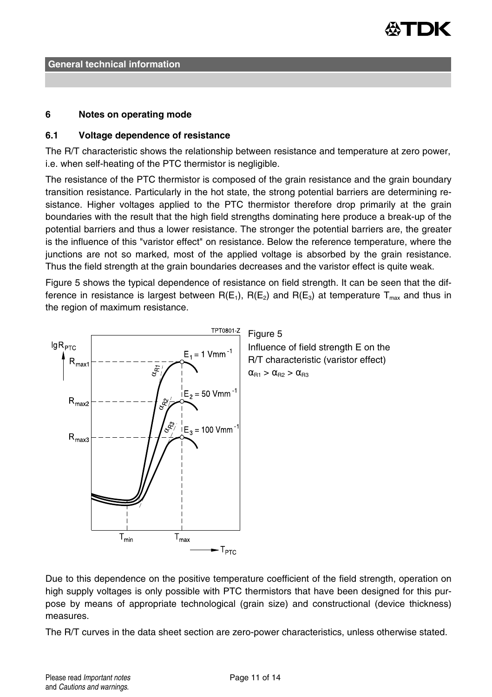

#### **6 Notes on operating mode**

#### **6.1 Voltage dependence of resistance**

The R/T characteristic shows the relationship between resistance and temperature at zero power, i.e. when self-heating of the PTC thermistor is negligible.

The resistance of the PTC thermistor is composed of the grain resistance and the grain boundary transition resistance. Particularly in the hot state, the strong potential barriers are determining resistance. Higher voltages applied to the PTC thermistor therefore drop primarily at the grain boundaries with the result that the high field strengths dominating here produce a break-up of the potential barriers and thus a lower resistance. The stronger the potential barriers are, the greater is the influence of this "varistor effect" on resistance. Below the reference temperature, where the junctions are not so marked, most of the applied voltage is absorbed by the grain resistance. Thus the field strength at the grain boundaries decreases and the varistor effect is quite weak.

Figure 5 shows the typical dependence of resistance on field strength. It can be seen that the difference in resistance is largest between  $R(E_1)$ ,  $R(E_2)$  and  $R(E_3)$  at temperature  $T_{\text{max}}$  and thus in the region of maximum resistance.



Due to this dependence on the positive temperature coefficient of the field strength, operation on high supply voltages is only possible with PTC thermistors that have been designed for this purpose by means of appropriate technological (grain size) and constructional (device thickness) measures.

The R/T curves in the data sheet section are zero-power characteristics, unless otherwise stated.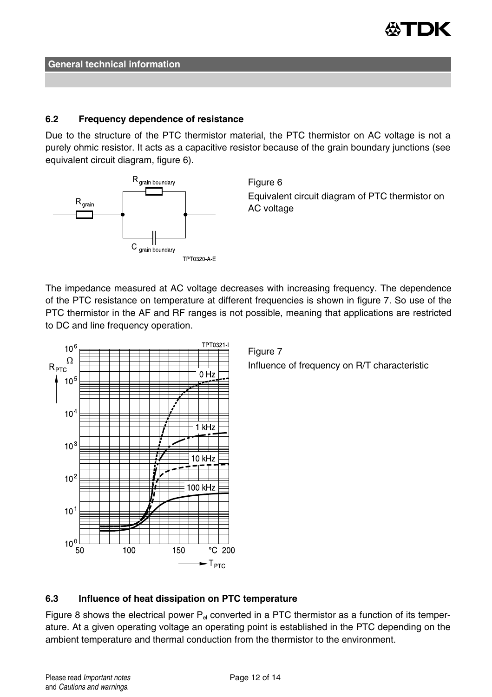

#### **6.2 Frequency dependence of resistance**

Due to the structure of the PTC thermistor material, the PTC thermistor on AC voltage is not a purely ohmic resistor. It acts as a capacitive resistor because of the grain boundary junctions (see equivalent circuit diagram, figure 6).



Figure 6 Equivalent circuit diagram of PTC thermistor on AC voltage

The impedance measured at AC voltage decreases with increasing frequency. The dependence of the PTC resistance on temperature at different frequencies is shown in figure 7. So use of the PTC thermistor in the AF and RF ranges is not possible, meaning that applications are restricted to DC and line frequency operation.



Figure 7 Influence of frequency on R/T characteristic

## **6.3 Influence of heat dissipation on PTC temperature**

Figure 8 shows the electrical power  $P_{el}$  converted in a PTC thermistor as a function of its temperature. At a given operating voltage an operating point is established in the PTC depending on the ambient temperature and thermal conduction from the thermistor to the environment.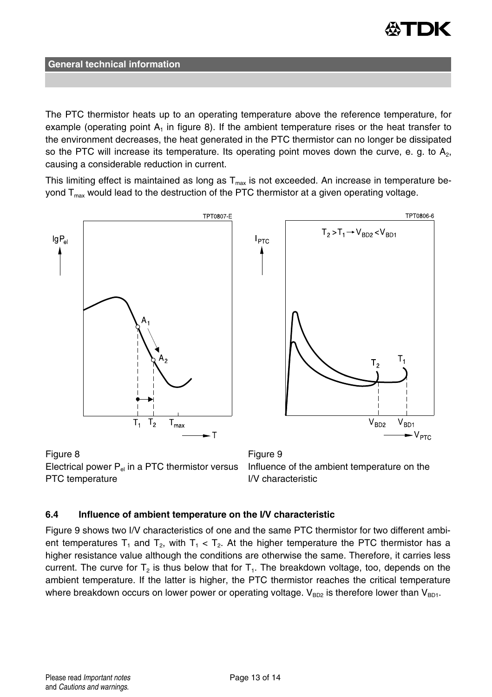

The PTC thermistor heats up to an operating temperature above the reference temperature, for example (operating point  $A_1$  in figure 8). If the ambient temperature rises or the heat transfer to the environment decreases, the heat generated in the PTC thermistor can no longer be dissipated so the PTC will increase its temperature. Its operating point moves down the curve, e. g. to  $A_2$ , causing a considerable reduction in current.

This limiting effect is maintained as long as  $T<sub>max</sub>$  is not exceeded. An increase in temperature beyond  $T_{\text{max}}$  would lead to the destruction of the PTC thermistor at a given operating voltage.



Figure 8 **Figure 9** Electrical power  $P_{el}$  in a PTC thermistor versus PTC temperature

Influence of the ambient temperature on the I/V characteristic

#### **6.4 Influence of ambient temperature on the I/V characteristic**

Figure 9 shows two I/V characteristics of one and the same PTC thermistor for two different ambient temperatures T<sub>1</sub> and T<sub>2</sub>, with T<sub>1</sub> < T<sub>2</sub>. At the higher temperature the PTC thermistor has a higher resistance value although the conditions are otherwise the same. Therefore, it carries less current. The curve for T<sub>2</sub> is thus below that for T<sub>1</sub>. The breakdown voltage, too, depends on the ambient temperature. If the latter is higher, the PTC thermistor reaches the critical temperature where breakdown occurs on lower power or operating voltage.  $V_{BD2}$  is therefore lower than  $V_{BD1}$ .